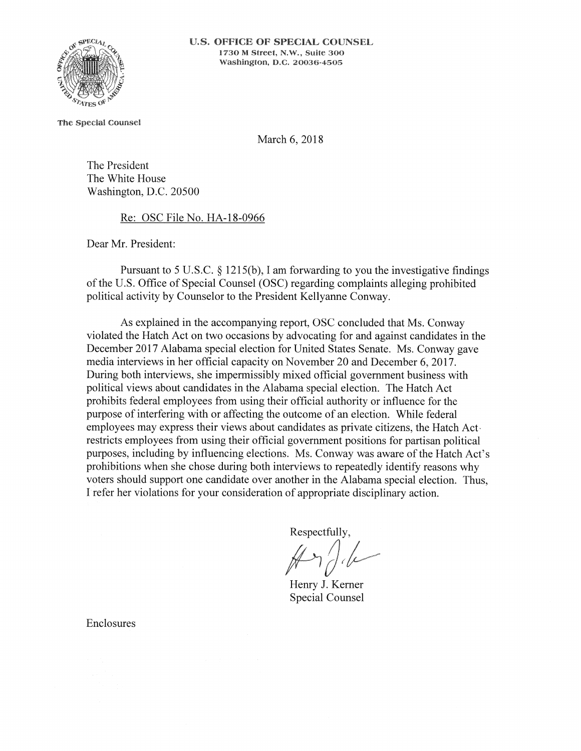

The Special Counsel

March 6, 2018

The President The White House Washington, D.C. 20500

Re: OSC File No. HA-18-0966

Dear Mr. President:

Pursuant to 5 U.S.C.  $\S$  1215(b), I am forwarding to you the investigative findings of the U.S. Office of Special Counsel (OSC) regarding complaints alleging prohibited political activity by Counselor to the President Kellyanne Conway.

As explained in the accompanying report, OSC concluded that Ms. Conway violated the Hatch Act on two occasions by advocating for and against candidates in the December 2017 Alabama special election for United States Senate. Ms. Conway gave media interviews in her official capacity on November 20 and December 6, 2017. During both interviews, she impermissibly mixed official government business with political views about candidates in the Alabama special election. The Hatch Act prohibits federal employees from using their official authority or influence for the purpose of interfering with or affecting the outcome of an election. While federal employees may express their views about candidates as private citizens, the Hatch Actrestricts employees from using their official government positions for partisan political purposes, including by influencing elections. Ms. Conway was aware of the Hatch Act's prohibitions when she chose during both interviews to repeatedly identify reasons why voters should support one candidate over another in the Alabama special election. Thus, I refer her violations for your consideration of appropriate disciplinary action.

Respectfully,

Henry J. Kerner **Special Counsel** 

Enclosures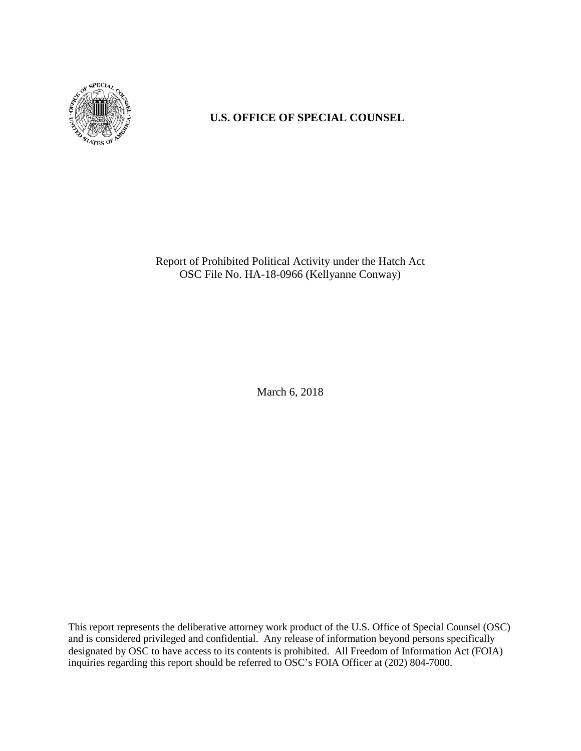

# **U.S. OFFICE OF SPECIAL COUNSEL**

Report of Prohibited Political Activity under the Hatch Act OSC File No. HA-18-0966 (Kellyanne Conway)

March 6, 2018

This report represents the deliberative attorney work product of the U.S. Office of Special Counsel (OSC) and is considered privileged and confidential. Any release of information beyond persons specifically designated by OSC to have access to its contents is prohibited. All Freedom of Information Act (FOIA) inquiries regarding this report should be referred to OSC's FOIA Officer at (202) 804-7000.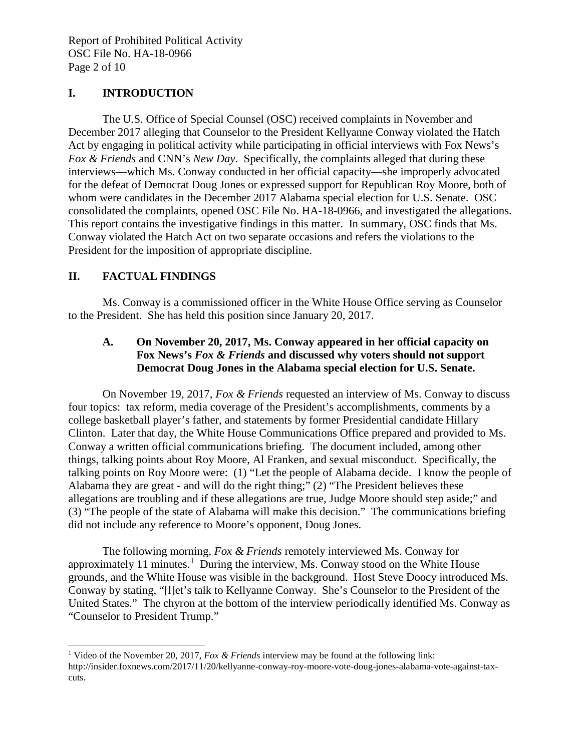### **I. INTRODUCTION**

The U.S. Office of Special Counsel (OSC) received complaints in November and December 2017 alleging that Counselor to the President Kellyanne Conway violated the Hatch Act by engaging in political activity while participating in official interviews with Fox News's *Fox & Friends* and CNN's *New Day*. Specifically, the complaints alleged that during these interviews—which Ms. Conway conducted in her official capacity—she improperly advocated for the defeat of Democrat Doug Jones or expressed support for Republican Roy Moore, both of whom were candidates in the December 2017 Alabama special election for U.S. Senate. OSC consolidated the complaints, opened OSC File No. HA-18-0966, and investigated the allegations. This report contains the investigative findings in this matter. In summary, OSC finds that Ms. Conway violated the Hatch Act on two separate occasions and refers the violations to the President for the imposition of appropriate discipline.

## **II. FACTUAL FINDINGS**

l

Ms. Conway is a commissioned officer in the White House Office serving as Counselor to the President. She has held this position since January 20, 2017.

### **A. On November 20, 2017, Ms. Conway appeared in her official capacity on Fox News's** *Fox & Friends* **and discussed why voters should not support Democrat Doug Jones in the Alabama special election for U.S. Senate.**

On November 19, 2017, *Fox & Friends* requested an interview of Ms. Conway to discuss four topics: tax reform, media coverage of the President's accomplishments, comments by a college basketball player's father, and statements by former Presidential candidate Hillary Clinton. Later that day, the White House Communications Office prepared and provided to Ms. Conway a written official communications briefing. The document included, among other things, talking points about Roy Moore, Al Franken, and sexual misconduct. Specifically, the talking points on Roy Moore were: (1) "Let the people of Alabama decide. I know the people of Alabama they are great - and will do the right thing;" (2) "The President believes these allegations are troubling and if these allegations are true, Judge Moore should step aside;" and (3) "The people of the state of Alabama will make this decision." The communications briefing did not include any reference to Moore's opponent, Doug Jones.

The following morning, *Fox & Friends* remotely interviewed Ms. Conway for approximately [1](#page-2-0)1 minutes.<sup>1</sup> During the interview, Ms. Conway stood on the White House grounds, and the White House was visible in the background. Host Steve Doocy introduced Ms. Conway by stating, "[l]et's talk to Kellyanne Conway. She's Counselor to the President of the United States." The chyron at the bottom of the interview periodically identified Ms. Conway as "Counselor to President Trump."

<span id="page-2-0"></span><sup>1</sup> Video of the November 20, 2017, *Fox & Friends* interview may be found at the following link: http://insider.foxnews.com/2017/11/20/kellyanne-conway-roy-moore-vote-doug-jones-alabama-vote-against-taxcuts.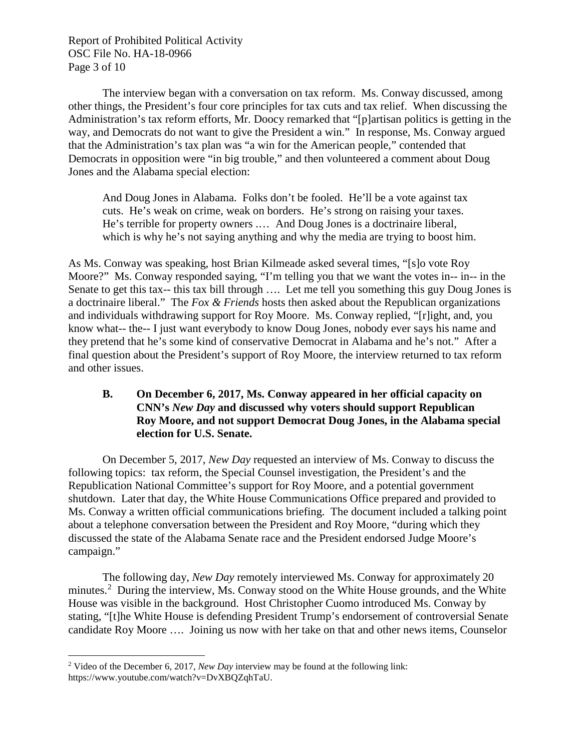Report of Prohibited Political Activity OSC File No. HA-18-0966 Page 3 of 10

The interview began with a conversation on tax reform. Ms. Conway discussed, among other things, the President's four core principles for tax cuts and tax relief. When discussing the Administration's tax reform efforts, Mr. Doocy remarked that "[p]artisan politics is getting in the way, and Democrats do not want to give the President a win." In response, Ms. Conway argued that the Administration's tax plan was "a win for the American people," contended that Democrats in opposition were "in big trouble," and then volunteered a comment about Doug Jones and the Alabama special election:

And Doug Jones in Alabama. Folks don't be fooled. He'll be a vote against tax cuts. He's weak on crime, weak on borders. He's strong on raising your taxes. He's terrible for property owners .… And Doug Jones is a doctrinaire liberal, which is why he's not saying anything and why the media are trying to boost him.

As Ms. Conway was speaking, host Brian Kilmeade asked several times, "[s]o vote Roy Moore?" Ms. Conway responded saying, "I'm telling you that we want the votes in-- in-- in the Senate to get this tax-- this tax bill through …. Let me tell you something this guy Doug Jones is a doctrinaire liberal." The *Fox & Friends* hosts then asked about the Republican organizations and individuals withdrawing support for Roy Moore. Ms. Conway replied, "[r]ight, and, you know what-- the-- I just want everybody to know Doug Jones, nobody ever says his name and they pretend that he's some kind of conservative Democrat in Alabama and he's not." After a final question about the President's support of Roy Moore, the interview returned to tax reform and other issues.

#### **B. On December 6, 2017, Ms. Conway appeared in her official capacity on CNN's** *New Day* **and discussed why voters should support Republican Roy Moore, and not support Democrat Doug Jones, in the Alabama special election for U.S. Senate.**

On December 5, 2017, *New Day* requested an interview of Ms. Conway to discuss the following topics: tax reform, the Special Counsel investigation, the President's and the Republication National Committee's support for Roy Moore, and a potential government shutdown. Later that day, the White House Communications Office prepared and provided to Ms. Conway a written official communications briefing. The document included a talking point about a telephone conversation between the President and Roy Moore, "during which they discussed the state of the Alabama Senate race and the President endorsed Judge Moore's campaign."

The following day, *New Day* remotely interviewed Ms. Conway for approximately 20 minutes.<sup>[2](#page-3-0)</sup> During the interview, Ms. Conway stood on the White House grounds, and the White House was visible in the background. Host Christopher Cuomo introduced Ms. Conway by stating, "[t]he White House is defending President Trump's endorsement of controversial Senate candidate Roy Moore …. Joining us now with her take on that and other news items, Counselor

<span id="page-3-0"></span>l <sup>2</sup> Video of the December 6, 2017, *New Day* interview may be found at the following link: https://www.youtube.com/watch?v=DvXBQZqhTaU.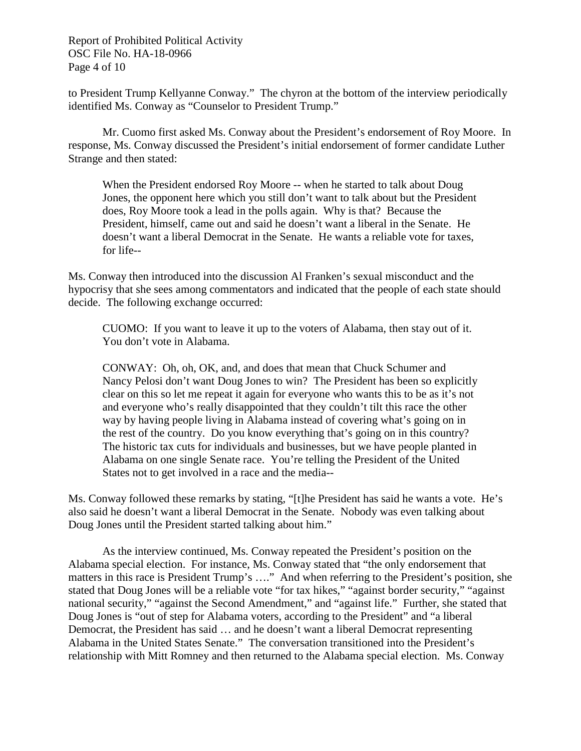Report of Prohibited Political Activity OSC File No. HA-18-0966 Page 4 of 10

to President Trump Kellyanne Conway." The chyron at the bottom of the interview periodically identified Ms. Conway as "Counselor to President Trump."

Mr. Cuomo first asked Ms. Conway about the President's endorsement of Roy Moore. In response, Ms. Conway discussed the President's initial endorsement of former candidate Luther Strange and then stated:

When the President endorsed Roy Moore -- when he started to talk about Doug Jones, the opponent here which you still don't want to talk about but the President does, Roy Moore took a lead in the polls again. Why is that? Because the President, himself, came out and said he doesn't want a liberal in the Senate. He doesn't want a liberal Democrat in the Senate. He wants a reliable vote for taxes, for life--

Ms. Conway then introduced into the discussion Al Franken's sexual misconduct and the hypocrisy that she sees among commentators and indicated that the people of each state should decide. The following exchange occurred:

CUOMO: If you want to leave it up to the voters of Alabama, then stay out of it. You don't vote in Alabama.

CONWAY: Oh, oh, OK, and, and does that mean that Chuck Schumer and Nancy Pelosi don't want Doug Jones to win? The President has been so explicitly clear on this so let me repeat it again for everyone who wants this to be as it's not and everyone who's really disappointed that they couldn't tilt this race the other way by having people living in Alabama instead of covering what's going on in the rest of the country. Do you know everything that's going on in this country? The historic tax cuts for individuals and businesses, but we have people planted in Alabama on one single Senate race. You're telling the President of the United States not to get involved in a race and the media--

Ms. Conway followed these remarks by stating, "[t]he President has said he wants a vote. He's also said he doesn't want a liberal Democrat in the Senate. Nobody was even talking about Doug Jones until the President started talking about him."

As the interview continued, Ms. Conway repeated the President's position on the Alabama special election. For instance, Ms. Conway stated that "the only endorsement that matters in this race is President Trump's …." And when referring to the President's position, she stated that Doug Jones will be a reliable vote "for tax hikes," "against border security," "against national security," "against the Second Amendment," and "against life." Further, she stated that Doug Jones is "out of step for Alabama voters, according to the President" and "a liberal Democrat, the President has said … and he doesn't want a liberal Democrat representing Alabama in the United States Senate." The conversation transitioned into the President's relationship with Mitt Romney and then returned to the Alabama special election. Ms. Conway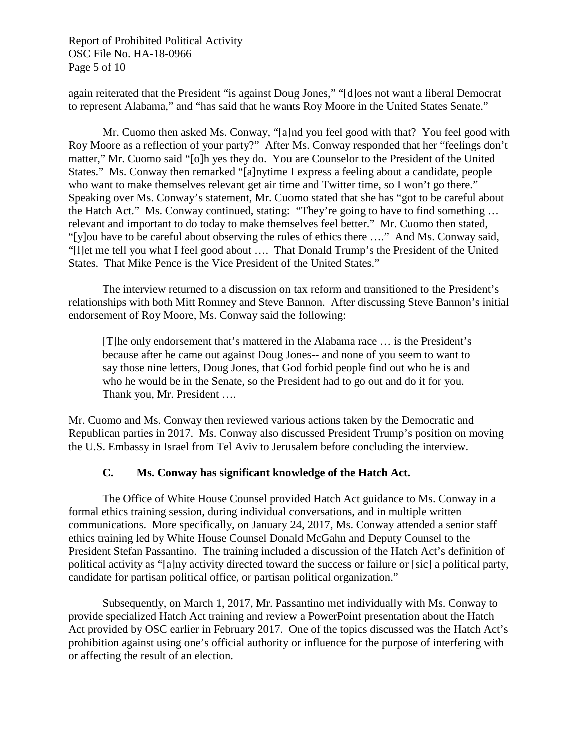Report of Prohibited Political Activity OSC File No. HA-18-0966 Page 5 of 10

again reiterated that the President "is against Doug Jones," "[d]oes not want a liberal Democrat to represent Alabama," and "has said that he wants Roy Moore in the United States Senate."

Mr. Cuomo then asked Ms. Conway, "[a]nd you feel good with that? You feel good with Roy Moore as a reflection of your party?" After Ms. Conway responded that her "feelings don't matter," Mr. Cuomo said "[o]h yes they do. You are Counselor to the President of the United States." Ms. Conway then remarked "[a]nytime I express a feeling about a candidate, people who want to make themselves relevant get air time and Twitter time, so I won't go there." Speaking over Ms. Conway's statement, Mr. Cuomo stated that she has "got to be careful about the Hatch Act." Ms. Conway continued, stating: "They're going to have to find something … relevant and important to do today to make themselves feel better." Mr. Cuomo then stated, "[y]ou have to be careful about observing the rules of ethics there …." And Ms. Conway said, "[l]et me tell you what I feel good about …. That Donald Trump's the President of the United States. That Mike Pence is the Vice President of the United States."

The interview returned to a discussion on tax reform and transitioned to the President's relationships with both Mitt Romney and Steve Bannon. After discussing Steve Bannon's initial endorsement of Roy Moore, Ms. Conway said the following:

[T]he only endorsement that's mattered in the Alabama race … is the President's because after he came out against Doug Jones-- and none of you seem to want to say those nine letters, Doug Jones, that God forbid people find out who he is and who he would be in the Senate, so the President had to go out and do it for you. Thank you, Mr. President ….

Mr. Cuomo and Ms. Conway then reviewed various actions taken by the Democratic and Republican parties in 2017. Ms. Conway also discussed President Trump's position on moving the U.S. Embassy in Israel from Tel Aviv to Jerusalem before concluding the interview.

#### **C. Ms. Conway has significant knowledge of the Hatch Act.**

The Office of White House Counsel provided Hatch Act guidance to Ms. Conway in a formal ethics training session, during individual conversations, and in multiple written communications. More specifically, on January 24, 2017, Ms. Conway attended a senior staff ethics training led by White House Counsel Donald McGahn and Deputy Counsel to the President Stefan Passantino. The training included a discussion of the Hatch Act's definition of political activity as "[a]ny activity directed toward the success or failure or [sic] a political party, candidate for partisan political office, or partisan political organization."

Subsequently, on March 1, 2017, Mr. Passantino met individually with Ms. Conway to provide specialized Hatch Act training and review a PowerPoint presentation about the Hatch Act provided by OSC earlier in February 2017. One of the topics discussed was the Hatch Act's prohibition against using one's official authority or influence for the purpose of interfering with or affecting the result of an election.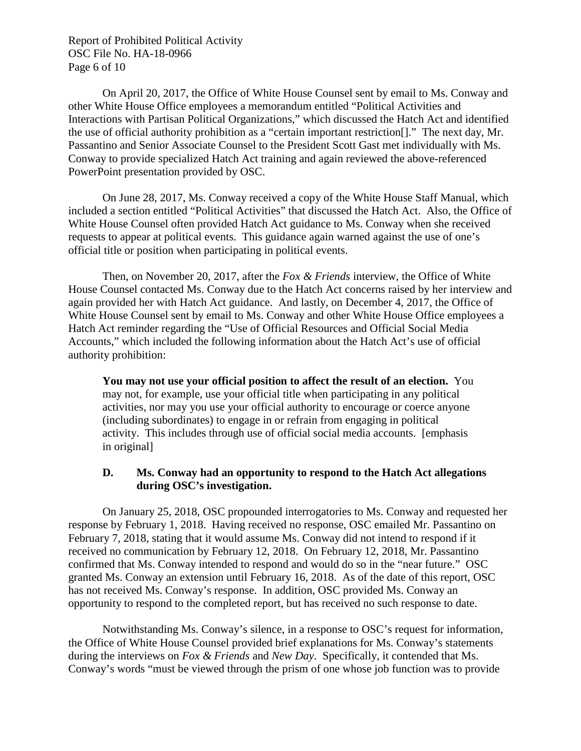Report of Prohibited Political Activity OSC File No. HA-18-0966 Page 6 of 10

On April 20, 2017, the Office of White House Counsel sent by email to Ms. Conway and other White House Office employees a memorandum entitled "Political Activities and Interactions with Partisan Political Organizations," which discussed the Hatch Act and identified the use of official authority prohibition as a "certain important restriction[]." The next day, Mr. Passantino and Senior Associate Counsel to the President Scott Gast met individually with Ms. Conway to provide specialized Hatch Act training and again reviewed the above-referenced PowerPoint presentation provided by OSC.

On June 28, 2017, Ms. Conway received a copy of the White House Staff Manual, which included a section entitled "Political Activities" that discussed the Hatch Act. Also, the Office of White House Counsel often provided Hatch Act guidance to Ms. Conway when she received requests to appear at political events. This guidance again warned against the use of one's official title or position when participating in political events.

Then, on November 20, 2017, after the *Fox & Friends* interview, the Office of White House Counsel contacted Ms. Conway due to the Hatch Act concerns raised by her interview and again provided her with Hatch Act guidance. And lastly, on December 4, 2017, the Office of White House Counsel sent by email to Ms. Conway and other White House Office employees a Hatch Act reminder regarding the "Use of Official Resources and Official Social Media Accounts," which included the following information about the Hatch Act's use of official authority prohibition:

**You may not use your official position to affect the result of an election.** You may not, for example, use your official title when participating in any political activities, nor may you use your official authority to encourage or coerce anyone (including subordinates) to engage in or refrain from engaging in political activity. This includes through use of official social media accounts. [emphasis in original]

#### **D. Ms. Conway had an opportunity to respond to the Hatch Act allegations during OSC's investigation.**

On January 25, 2018, OSC propounded interrogatories to Ms. Conway and requested her response by February 1, 2018. Having received no response, OSC emailed Mr. Passantino on February 7, 2018, stating that it would assume Ms. Conway did not intend to respond if it received no communication by February 12, 2018. On February 12, 2018, Mr. Passantino confirmed that Ms. Conway intended to respond and would do so in the "near future." OSC granted Ms. Conway an extension until February 16, 2018. As of the date of this report, OSC has not received Ms. Conway's response. In addition, OSC provided Ms. Conway an opportunity to respond to the completed report, but has received no such response to date.

Notwithstanding Ms. Conway's silence, in a response to OSC's request for information, the Office of White House Counsel provided brief explanations for Ms. Conway's statements during the interviews on *Fox & Friends* and *New Day*. Specifically, it contended that Ms. Conway's words "must be viewed through the prism of one whose job function was to provide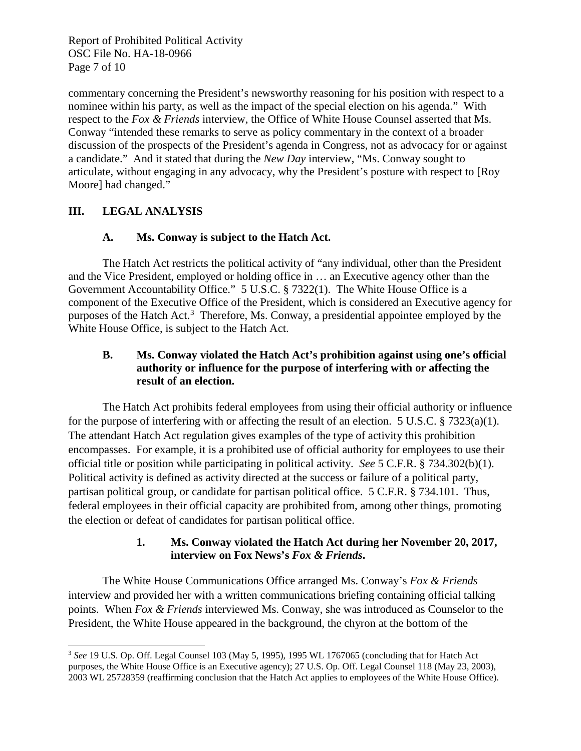Report of Prohibited Political Activity OSC File No. HA-18-0966 Page 7 of 10

commentary concerning the President's newsworthy reasoning for his position with respect to a nominee within his party, as well as the impact of the special election on his agenda." With respect to the *Fox & Friends* interview, the Office of White House Counsel asserted that Ms. Conway "intended these remarks to serve as policy commentary in the context of a broader discussion of the prospects of the President's agenda in Congress, not as advocacy for or against a candidate." And it stated that during the *New Day* interview, "Ms. Conway sought to articulate, without engaging in any advocacy, why the President's posture with respect to [Roy Moore] had changed."

## **III. LEGAL ANALYSIS**

## **A. Ms. Conway is subject to the Hatch Act.**

The Hatch Act restricts the political activity of "any individual, other than the President and the Vice President, employed or holding office in … an Executive agency other than the Government Accountability Office." 5 U.S.C. § 7322(1). The White House Office is a component of the Executive Office of the President, which is considered an Executive agency for purposes of the Hatch Act.<sup>[3](#page-7-0)</sup> Therefore, Ms. Conway, a presidential appointee employed by the White House Office, is subject to the Hatch Act.

### **B. Ms. Conway violated the Hatch Act's prohibition against using one's official authority or influence for the purpose of interfering with or affecting the result of an election.**

The Hatch Act prohibits federal employees from using their official authority or influence for the purpose of interfering with or affecting the result of an election. 5 U.S.C. § 7323(a)(1). The attendant Hatch Act regulation gives examples of the type of activity this prohibition encompasses. For example, it is a prohibited use of official authority for employees to use their official title or position while participating in political activity. *See* 5 C.F.R. § 734.302(b)(1). Political activity is defined as activity directed at the success or failure of a political party, partisan political group, or candidate for partisan political office. 5 C.F.R. § 734.101. Thus, federal employees in their official capacity are prohibited from, among other things, promoting the election or defeat of candidates for partisan political office.

### **1. Ms. Conway violated the Hatch Act during her November 20, 2017, interview on Fox News's** *Fox & Friends***.**

The White House Communications Office arranged Ms. Conway's *Fox & Friends* interview and provided her with a written communications briefing containing official talking points. When *Fox & Friends* interviewed Ms. Conway, she was introduced as Counselor to the President, the White House appeared in the background, the chyron at the bottom of the

<span id="page-7-0"></span>l <sup>3</sup> *See* 19 U.S. Op. Off. Legal Counsel 103 (May 5, 1995), 1995 WL 1767065 (concluding that for Hatch Act purposes, the White House Office is an Executive agency); 27 U.S. Op. Off. Legal Counsel 118 (May 23, 2003), 2003 WL 25728359 (reaffirming conclusion that the Hatch Act applies to employees of the White House Office).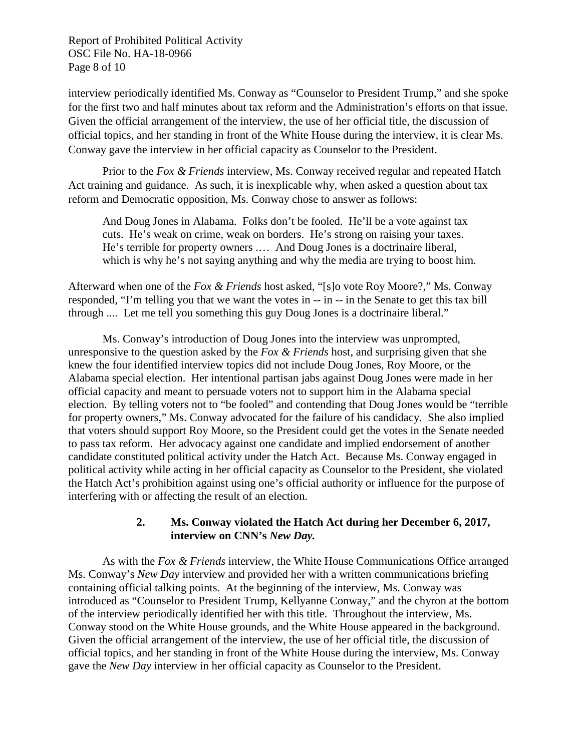Report of Prohibited Political Activity OSC File No. HA-18-0966 Page 8 of 10

interview periodically identified Ms. Conway as "Counselor to President Trump," and she spoke for the first two and half minutes about tax reform and the Administration's efforts on that issue. Given the official arrangement of the interview, the use of her official title, the discussion of official topics, and her standing in front of the White House during the interview, it is clear Ms. Conway gave the interview in her official capacity as Counselor to the President.

Prior to the *Fox & Friends* interview, Ms. Conway received regular and repeated Hatch Act training and guidance. As such, it is inexplicable why, when asked a question about tax reform and Democratic opposition, Ms. Conway chose to answer as follows:

And Doug Jones in Alabama. Folks don't be fooled. He'll be a vote against tax cuts. He's weak on crime, weak on borders. He's strong on raising your taxes. He's terrible for property owners .… And Doug Jones is a doctrinaire liberal, which is why he's not saying anything and why the media are trying to boost him.

Afterward when one of the *Fox & Friends* host asked, "[s]o vote Roy Moore?," Ms. Conway responded, "I'm telling you that we want the votes in -- in -- in the Senate to get this tax bill through .... Let me tell you something this guy Doug Jones is a doctrinaire liberal."

Ms. Conway's introduction of Doug Jones into the interview was unprompted, unresponsive to the question asked by the *Fox & Friends* host, and surprising given that she knew the four identified interview topics did not include Doug Jones, Roy Moore, or the Alabama special election. Her intentional partisan jabs against Doug Jones were made in her official capacity and meant to persuade voters not to support him in the Alabama special election. By telling voters not to "be fooled" and contending that Doug Jones would be "terrible for property owners," Ms. Conway advocated for the failure of his candidacy. She also implied that voters should support Roy Moore, so the President could get the votes in the Senate needed to pass tax reform. Her advocacy against one candidate and implied endorsement of another candidate constituted political activity under the Hatch Act. Because Ms. Conway engaged in political activity while acting in her official capacity as Counselor to the President, she violated the Hatch Act's prohibition against using one's official authority or influence for the purpose of interfering with or affecting the result of an election.

#### **2. Ms. Conway violated the Hatch Act during her December 6, 2017, interview on CNN's** *New Day.*

As with the *Fox & Friends* interview, the White House Communications Office arranged Ms. Conway's *New Day* interview and provided her with a written communications briefing containing official talking points. At the beginning of the interview, Ms. Conway was introduced as "Counselor to President Trump, Kellyanne Conway," and the chyron at the bottom of the interview periodically identified her with this title. Throughout the interview, Ms. Conway stood on the White House grounds, and the White House appeared in the background. Given the official arrangement of the interview, the use of her official title, the discussion of official topics, and her standing in front of the White House during the interview, Ms. Conway gave the *New Day* interview in her official capacity as Counselor to the President.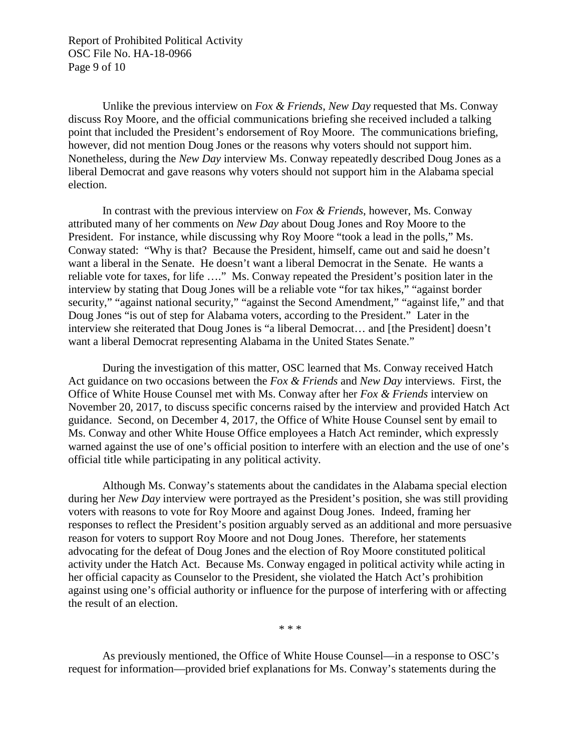Report of Prohibited Political Activity OSC File No. HA-18-0966 Page 9 of 10

Unlike the previous interview on *Fox & Friends*, *New Day* requested that Ms. Conway discuss Roy Moore, and the official communications briefing she received included a talking point that included the President's endorsement of Roy Moore. The communications briefing, however, did not mention Doug Jones or the reasons why voters should not support him. Nonetheless, during the *New Day* interview Ms. Conway repeatedly described Doug Jones as a liberal Democrat and gave reasons why voters should not support him in the Alabama special election.

In contrast with the previous interview on *Fox & Friends*, however, Ms. Conway attributed many of her comments on *New Day* about Doug Jones and Roy Moore to the President. For instance, while discussing why Roy Moore "took a lead in the polls," Ms. Conway stated: "Why is that? Because the President, himself, came out and said he doesn't want a liberal in the Senate. He doesn't want a liberal Democrat in the Senate. He wants a reliable vote for taxes, for life …." Ms. Conway repeated the President's position later in the interview by stating that Doug Jones will be a reliable vote "for tax hikes," "against border security," "against national security," "against the Second Amendment," "against life," and that Doug Jones "is out of step for Alabama voters, according to the President." Later in the interview she reiterated that Doug Jones is "a liberal Democrat… and [the President] doesn't want a liberal Democrat representing Alabama in the United States Senate."

During the investigation of this matter, OSC learned that Ms. Conway received Hatch Act guidance on two occasions between the *Fox & Friends* and *New Day* interviews. First, the Office of White House Counsel met with Ms. Conway after her *Fox & Friends* interview on November 20, 2017, to discuss specific concerns raised by the interview and provided Hatch Act guidance. Second, on December 4, 2017, the Office of White House Counsel sent by email to Ms. Conway and other White House Office employees a Hatch Act reminder, which expressly warned against the use of one's official position to interfere with an election and the use of one's official title while participating in any political activity.

Although Ms. Conway's statements about the candidates in the Alabama special election during her *New Day* interview were portrayed as the President's position, she was still providing voters with reasons to vote for Roy Moore and against Doug Jones. Indeed, framing her responses to reflect the President's position arguably served as an additional and more persuasive reason for voters to support Roy Moore and not Doug Jones. Therefore, her statements advocating for the defeat of Doug Jones and the election of Roy Moore constituted political activity under the Hatch Act. Because Ms. Conway engaged in political activity while acting in her official capacity as Counselor to the President, she violated the Hatch Act's prohibition against using one's official authority or influence for the purpose of interfering with or affecting the result of an election.

\* \* \*

As previously mentioned, the Office of White House Counsel—in a response to OSC's request for information—provided brief explanations for Ms. Conway's statements during the